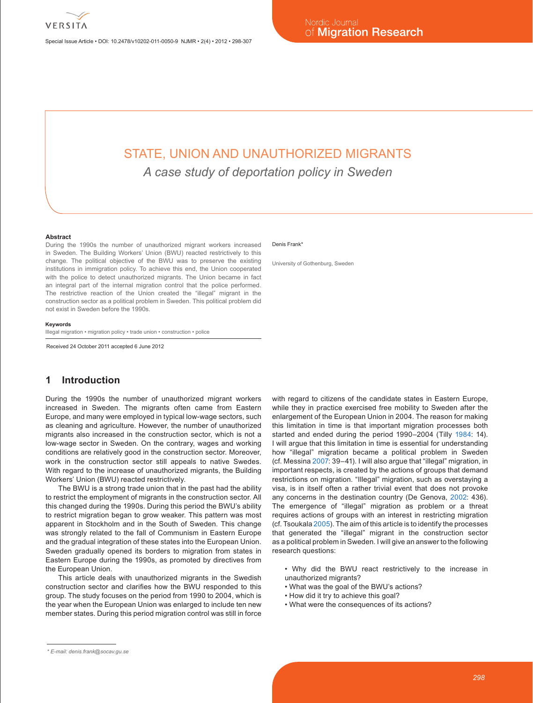Special Issue Article • DOI: 10.2478/v10202-011-0050-9 NJMR • 2(4) • 2012 • 298-307

# STATE, UNION AND UNAUTHORIZED MIGRANTS

*A case study of deportation policy in Sweden*

#### **Abstract**

During the 1990s the number of unauthorized migrant workers increased in Sweden. The Building Workers' Union (BWU) reacted restrictively to this change. The political objective of the BWU was to preserve the existing institutions in immigration policy. To achieve this end, the Union cooperated with the police to detect unauthorized migrants. The Union became in fact an integral part of the internal migration control that the police performed. The restrictive reaction of the Union created the "illegal" migrant in the construction sector as a political problem in Sweden. This political problem did not exist in Sweden before the 1990s.

#### **Keywords**

Illegal migration • migration policy • trade union • construction • police

Received 24 October 2011 accepted 6 June 2012

### **1 Introduction**

During the 1990s the number of unauthorized migrant workers increased in Sweden. The migrants often came from Eastern Europe, and many were employed in typical low-wage sectors, such as cleaning and agriculture. However, the number of unauthorized migrants also increased in the construction sector, which is not a low-wage sector in Sweden. On the contrary, wages and working conditions are relatively good in the construction sector. Moreover, work in the construction sector still appeals to native Swedes. With regard to the increase of unauthorized migrants, the Building Workers' Union (BWU) reacted restrictively.

The BWU is a strong trade union that in the past had the ability to restrict the employment of migrants in the construction sector. All this changed during the 1990s. During this period the BWU's ability to restrict migration began to grow weaker. This pattern was most apparent in Stockholm and in the South of Sweden. This change was strongly related to the fall of Communism in Eastern Europe and the gradual integration of these states into the European Union. Sweden gradually opened its borders to migration from states in Eastern Europe during the 1990s, as promoted by directives from the European Union.

This article deals with unauthorized migrants in the Swedish construction sector and clarifies how the BWU responded to this group. The study focuses on the period from 1990 to 2004, which is the year when the European Union was enlarged to include ten new member states. During this period migration control was still in force

#### Denis Frank<sup>\*</sup>

University of Gothenburg, Sweden

with regard to citizens of the candidate states in Eastern Europe, while they in practice exercised free mobility to Sweden after the enlargement of the European Union in 2004. The reason for making this limitation in time is that important migration processes both started and ended during the period 1990–2004 (Tilly 1984: 14). I will argue that this limitation in time is essential for understanding how "illegal" migration became a political problem in Sweden (cf. Messina 2007: 39–41). I will also argue that "illegal" migration, in important respects, is created by the actions of groups that demand restrictions on migration. "Illegal" migration, such as overstaying a visa, is in itself often a rather trivial event that does not provoke any concerns in the destination country (De Genova, 2002: 436). The emergence of "illegal" migration as problem or a threat requires actions of groups with an interest in restricting migration (cf. Tsoukala 2005). The aim of this article is to identify the processes that generated the "illegal" migrant in the construction sector as a political problem in Sweden. I will give an answer to the following research questions:

• Why did the BWU react restrictively to the increase in unauthorized migrants?

- What was the goal of the BWU's actions?
- How did it try to achieve this goal?
- What were the consequences of its actions?

*<sup>\*</sup> E-mail: denis.frank@socav.gu.se*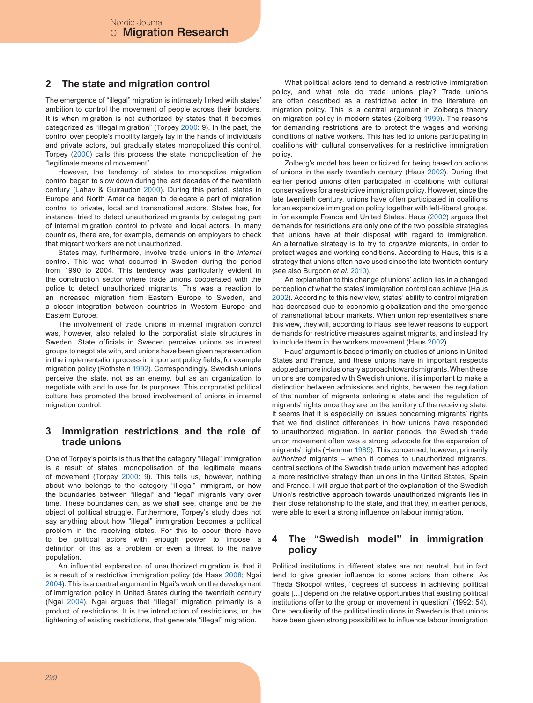# **2 The state and migration control**

The emergence of "illegal" migration is intimately linked with states' ambition to control the movement of people across their borders. It is when migration is not authorized by states that it becomes categorized as "illegal migration" (Torpey 2000: 9). In the past, the control over people's mobility largely lay in the hands of individuals and private actors, but gradually states monopolized this control. Torpey (2000) calls this process the state monopolisation of the "legitimate means of movement".

However, the tendency of states to monopolize migration control began to slow down during the last decades of the twentieth century (Lahav & Guiraudon 2000). During this period, states in Europe and North America began to delegate a part of migration control to private, local and transnational actors. States has, for instance, tried to detect unauthorized migrants by delegating part of internal migration control to private and local actors. In many countries, there are, for example, demands on employers to check that migrant workers are not unauthorized.

States may, furthermore, involve trade unions in the *internal* control. This was what occurred in Sweden during the period from 1990 to 2004. This tendency was particularly evident in the construction sector where trade unions cooperated with the police to detect unauthorized migrants. This was a reaction to an increased migration from Eastern Europe to Sweden, and a closer integration between countries in Western Europe and Eastern Europe.

The involvement of trade unions in internal migration control was, however, also related to the corporatist state structures in Sweden. State officials in Sweden perceive unions as interest groups to negotiate with, and unions have been given representation in the implementation process in important policy fields, for example migration policy (Rothstein 1992). Correspondingly, Swedish unions perceive the state, not as an enemy, but as an organization to negotiate with and to use for its purposes. This corporatist political culture has promoted the broad involvement of unions in internal migration control.

# **3 Immigration restrictions and the role of trade unions**

One of Torpey's points is thus that the category "illegal" immigration is a result of states' monopolisation of the legitimate means of movement (Torpey 2000: 9). This tells us, however, nothing about who belongs to the category "illegal" immigrant, or how the boundaries between "illegal" and "legal" migrants vary over time. These boundaries can, as we shall see, change and be the object of political struggle. Furthermore, Torpey's study does not say anything about how "illegal" immigration becomes a political problem in the receiving states. For this to occur there have to be political actors with enough power to impose a definition of this as a problem or even a threat to the native population.

An influential explanation of unauthorized migration is that it is a result of a restrictive immigration policy (de Haas 2008; Ngai 2004). This is a central argument in Ngai's work on the development of immigration policy in United States during the twentieth century (Ngai 2004). Ngai argues that "illegal" migration primarily is a product of restrictions. It is the introduction of restrictions, or the tightening of existing restrictions, that generate "illegal" migration.

What political actors tend to demand a restrictive immigration policy, and what role do trade unions play? Trade unions are often described as a restrictive actor in the literature on migration policy. This is a central argument in Zolberg's theory on migration policy in modern states (Zolberg 1999). The reasons for demanding restrictions are to protect the wages and working conditions of native workers. This has led to unions participating in coalitions with cultural conservatives for a restrictive immigration policy.

Zolberg's model has been criticized for being based on actions of unions in the early twentieth century (Haus 2002). During that earlier period unions often participated in coalitions with cultural conservatives for a restrictive immigration policy. However, since the late twentieth century, unions have often participated in coalitions for an expansive immigration policy together with left-liberal groups, in for example France and United States. Haus (2002) argues that demands for restrictions are only one of the two possible strategies that unions have at their disposal with regard to immigration. An alternative strategy is to try to *organize* migrants, in order to protect wages and working conditions. According to Haus, this is a strategy that unions often have used since the late twentieth century (see also Burgoon *et al.* 2010).

An explanation to this change of unions' action lies in a changed perception of what the states' immigration control can achieve (Haus 2002). According to this new view, states' ability to control migration has decreased due to economic globalization and the emergence of transnational labour markets. When union representatives share this view, they will, according to Haus, see fewer reasons to support demands for restrictive measures against migrants, and instead try to include them in the workers movement (Haus 2002).

Haus' argument is based primarily on studies of unions in United States and France, and these unions have in important respects adopted a more inclusionary approach towards migrants. When these unions are compared with Swedish unions, it is important to make a distinction between admissions and rights, between the regulation of the number of migrants entering a state and the regulation of migrants' rights once they are on the territory of the receiving state. It seems that it is especially on issues concerning migrants' rights that we find distinct differences in how unions have responded to unauthorized migration. In earlier periods, the Swedish trade union movement often was a strong advocate for the expansion of migrants' rights (Hammar 1985). This concerned, however, primarily *authorized* migrants – when it comes to unauthorized migrants, central sections of the Swedish trade union movement has adopted a more restrictive strategy than unions in the United States, Spain and France. I will argue that part of the explanation of the Swedish Union's restrictive approach towards unauthorized migrants lies in their close relationship to the state, and that they, in earlier periods, were able to exert a strong influence on labour immigration.

# **4 The "Swedish model" in immigration policy**

Political institutions in different states are not neutral, but in fact tend to give greater influence to some actors than others. As Theda Skocpol writes, "degrees of success in achieving political goals […] depend on the relative opportunities that existing political institutions offer to the group or movement in question" (1992: 54). One peculiarity of the political institutions in Sweden is that unions have been given strong possibilities to influence labour immigration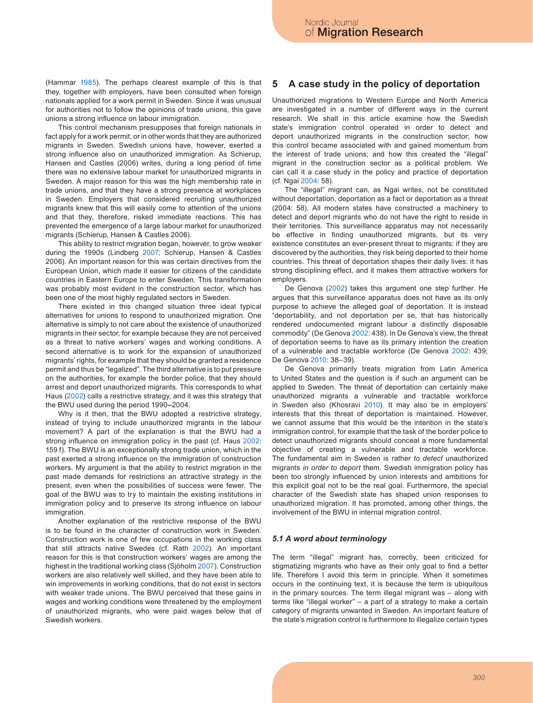(Hammar 1985). The perhaps clearest example of this is that they, together with employers, have been consulted when foreign nationals applied for a work permit in Sweden. Since it was unusual for authorities not to follow the opinions of trade unions, this gave unions a strong influence on labour immigration.

This control mechanism presupposes that foreign nationals in fact apply for a work permit, or in other words that they are authorized migrants in Sweden. Swedish unions have, however, exerted a strong influence also on unauthorized immigration. As Schierup, Hansen and Castles (2006) writes, during a long period of time there was no extensive labour market for unauthorized migrants in Sweden. A major reason for this was the high membership rate in trade unions, and that they have a strong presence at workplaces in Sweden. Employers that considered recruiting unauthorized migrants knew that this will easily come to attention of the unions and that they, therefore, risked immediate reactions. This has prevented the emergence of a large labour market for unauthorized migrants (Schierup, Hansen & Castles 2006).

This ability to restrict migration began, however, to grow weaker during the 1990s (Lindberg 2007; Schierup, Hansen & Castles 2006). An important reason for this was certain directives from the European Union, which made it easier for citizens of the candidate countries in Eastern Europe to enter Sweden. This transformation was probably most evident in the construction sector, which has been one of the most highly regulated sectors in Sweden.

There existed in this changed situation three ideal typical alternatives for unions to respond to unauthorized migration. One alternative is simply to not care about the existence of unauthorized migrants in their sector, for example because they are not perceived as a threat to native workers' wages and working conditions. A second alternative is to work for the expansion of unauthorized migrants' rights, for example that they should be granted a residence permit and thus be "legalized". The third alternative is to put pressure on the authorities, for example the border police, that they should arrest and deport unauthorized migrants. This corresponds to what Haus (2002) calls a restrictive strategy, and it was this strategy that the BWU used during the period 1990**–**2004.

Why is it then, that the BWU adopted a restrictive strategy, instead of trying to include unauthorized migrants in the labour movement? A part of the explanation is that the BWU had a strong influence on immigration policy in the past (cf. Haus 2002: 159 f). The BWU is an exceptionally strong trade union, which in the past exerted a strong influence on the immigration of construction workers. My argument is that the ability to restrict migration in the past made demands for restrictions an attractive strategy in the present, even when the possibilities of success were fewer. The goal of the BWU was to try to maintain the existing institutions in immigration policy and to preserve its strong influence on labour immigration.

Another explanation of the restrictive response of the BWU is to be found in the character of construction work in Sweden. Construction work is one of few occupations in the working class that still attracts native Swedes (cf. Rath 2002). An important reason for this is that construction workers' wages are among the highest in the traditional working class (Sjöholm 2007). Construction workers are also relatively well skilled, and they have been able to win improvements in working conditions, that do not exist in sectors with weaker trade unions. The BWU perceived that these gains in wages and working conditions were threatened by the employment of unauthorized migrants, who were paid wages below that of Swedish workers.

#### **5 A case study in the policy of deportation**

Unauthorized migrations to Western Europe and North America are investigated in a number of different ways in the current research. We shall in this article examine how the Swedish state's immigration control operated in order to detect and deport unauthorized migrants in the construction sector; how this control became associated with and gained momentum from the interest of trade unions; and how this created the "illegal" migrant in the construction sector as a political problem. We can call it a case study in the policy and practice of deportation (cf. Ngai 2004: 58).

The "illegal" migrant can, as Ngai writes, not be constituted without deportation, deportation as a fact or deportation as a threat (2004: 58). All modern states have constructed a machinery to detect and deport migrants who do not have the right to reside in their territories. This surveillance apparatus may not necessarily be effective in finding unauthorized migrants, but its very existence constitutes an ever-present threat to migrants: if they are discovered by the authorities, they risk being deported to their home countries. This threat of deportation shapes their daily lives: it has strong disciplining effect, and it makes them attractive workers for employers.

De Genova (2002) takes this argument one step further. He argues that this surveillance apparatus does not have as its only purpose to achieve the alleged goal of deportation. It is instead "deportability, and not deportation per se, that has historically rendered undocumented migrant labour a distinctly disposable commodity" (De Genova 2002: 438). In De Genova's view, the threat of deportation seems to have as its primary intention the creation of a vulnerable and tractable workforce (De Genova 2002: 439; De Genova 2010: 38–39).

De Genova primarily treats migration from Latin America to United States and the question is if such an argument can be applied to Sweden. The threat of deportation can certainly make unauthorized migrants a vulnerable and tractable workforce in Sweden also (Khosravi 2010). It may also be in employers' interests that this threat of deportation is maintained. However, we cannot assume that this would be the intention in the state's immigration control, for example that the task of the border police to detect unauthorized migrants should conceal a more fundamental objective of creating a vulnerable and tractable workforce. The fundamental aim in Sweden is rather *to detect* unauthorized migrants *in order to deport* them. Swedish immigration policy has been too strongly influenced by union interests and ambitions for this explicit goal not to be the real goal. Furthermore, the special character of the Swedish state has shaped union responses to unauthorized migration. It has promoted, among other things, the involvement of the BWU in internal migration control.

#### *5.1 A word about terminology*

The term "illegal" migrant has, correctly, been criticized for stigmatizing migrants who have as their only goal to find a better life. Therefore I avoid this term in principle. When it sometimes occurs in the continuing text, it is because the term is ubiquitous in the primary sources. The term illegal migrant was – along with terms like "illegal worker" – a part of a strategy to make a certain category of migrants unwanted in Sweden. An important feature of the state's migration control is furthermore to illegalize certain types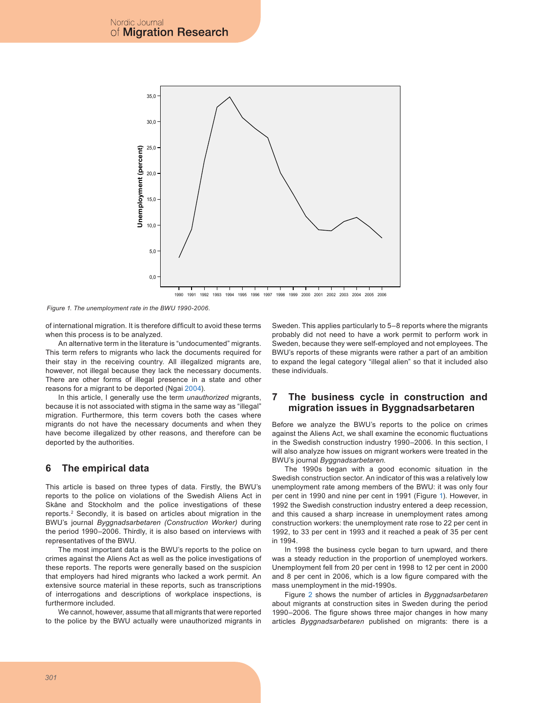

*Figure 1. The unemployment rate in the BWU 1990-2006.*

of international migration. It is therefore difficult to avoid these terms when this process is to be analyzed.

An alternative term in the literature is "undocumented" migrants. This term refers to migrants who lack the documents required for their stay in the receiving country. All illegalized migrants are, however, not illegal because they lack the necessary documents. There are other forms of illegal presence in a state and other reasons for a migrant to be deported (Ngai 2004).

In this article, I generally use the term *unauthorized* migrants, because it is not associated with stigma in the same way as "illegal" migration. Furthermore, this term covers both the cases where migrants do not have the necessary documents and when they have become illegalized by other reasons, and therefore can be deported by the authorities.

#### **6 The empirical data**

This article is based on three types of data. Firstly, the BWU's reports to the police on violations of the Swedish Aliens Act in Skåne and Stockholm and the police investigations of these reports.2 Secondly, it is based on articles about migration in the BWU's journal *Byggnadsarbetaren (Construction Worker)* during the period 1990–2006. Thirdly, it is also based on interviews with representatives of the BWU.

The most important data is the BWU's reports to the police on crimes against the Aliens Act as well as the police investigations of these reports. The reports were generally based on the suspicion that employers had hired migrants who lacked a work permit. An extensive source material in these reports, such as transcriptions of interrogations and descriptions of workplace inspections, is furthermore included.

We cannot, however, assume that all migrants that were reported to the police by the BWU actually were unauthorized migrants in Sweden. This applies particularly to 5–8 reports where the migrants probably did not need to have a work permit to perform work in Sweden, because they were self-employed and not employees. The BWU's reports of these migrants were rather a part of an ambition to expand the legal category "illegal alien" so that it included also these individuals.

#### **7 The business cycle in construction and migration issues in Byggnadsarbetaren**

Before we analyze the BWU's reports to the police on crimes against the Aliens Act, we shall examine the economic fluctuations in the Swedish construction industry 1990–2006. In this section, I will also analyze how issues on migrant workers were treated in the BWU's journal *Byggnadsarbetaren*.

The 1990s began with a good economic situation in the Swedish construction sector. An indicator of this was a relatively low unemployment rate among members of the BWU: it was only four per cent in 1990 and nine per cent in 1991 (Figure 1). However, in 1992 the Swedish construction industry entered a deep recession, and this caused a sharp increase in unemployment rates among construction workers: the unemployment rate rose to 22 per cent in 1992, to 33 per cent in 1993 and it reached a peak of 35 per cent in 1994.

In 1998 the business cycle began to turn upward, and there was a steady reduction in the proportion of unemployed workers. Unemployment fell from 20 per cent in 1998 to 12 per cent in 2000 and 8 per cent in 2006, which is a low figure compared with the mass unemployment in the mid-1990s.

Figure 2 shows the number of articles in *Byggnadsarbetaren* about migrants at construction sites in Sweden during the period 1990–2006. The figure shows three major changes in how many articles *Byggnadsarbetaren* published on migrants: there is a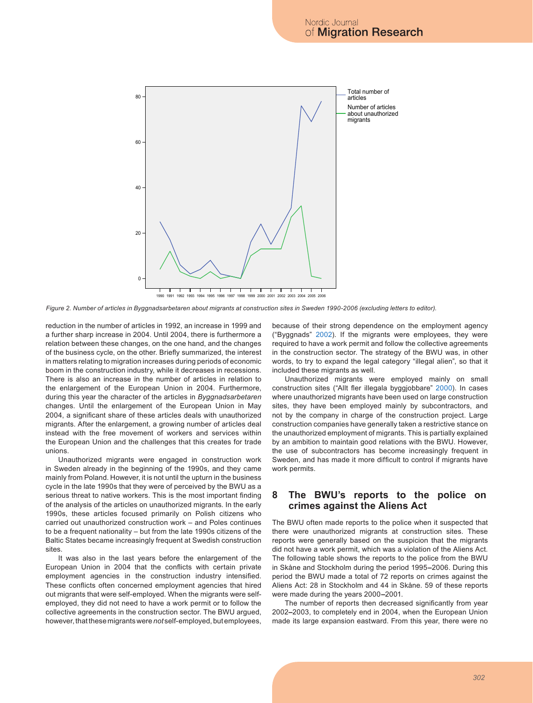

**Year** *Figure 2. Number of articles in Byggnadsarbetaren about migrants at construction sites in Sweden 1990-2006 (excluding letters to editor).*

reduction in the number of articles in 1992, an increase in 1999 and a further sharp increase in 2004. Until 2004, there is furthermore a relation between these changes, on the one hand, and the changes of the business cycle, on the other. Briefly summarized, the interest in matters relating to migration increases during periods of economic boom in the construction industry, while it decreases in recessions. There is also an increase in the number of articles in relation to the enlargement of the European Union in 2004. Furthermore, during this year the character of the articles in *Byggnadsarbetaren*  changes. Until the enlargement of the European Union in May 2004, a significant share of these articles deals with unauthorized migrants. After the enlargement, a growing number of articles deal instead with the free movement of workers and services within the European Union and the challenges that this creates for trade unions.

Unauthorized migrants were engaged in construction work in Sweden already in the beginning of the 1990s, and they came mainly from Poland. However, it is not until the upturn in the business cycle in the late 1990s that they were of perceived by the BWU as a serious threat to native workers. This is the most important finding of the analysis of the articles on unauthorized migrants*.* In the early 1990s, these articles focused primarily on Polish citizens who carried out unauthorized construction work – and Poles continues to be a frequent nationality – but from the late 1990s citizens of the Baltic States became increasingly frequent at Swedish construction sites.

It was also in the last years before the enlargement of the European Union in 2004 that the conflicts with certain private employment agencies in the construction industry intensified. These conflicts often concerned employment agencies that hired out migrants that were self-employed. When the migrants were selfemployed, they did not need to have a work permit or to follow the collective agreements in the construction sector. The BWU argued, however, that these migrants were *not* self-employed, but employees, because of their strong dependence on the employment agency ("Byggnads" 2002). If the migrants were employees, they were required to have a work permit and follow the collective agreements in the construction sector. The strategy of the BWU was, in other words, to try to expand the legal category "illegal alien", so that it included these migrants as well.

Unauthorized migrants were employed mainly on small construction sites ("Allt fler illegala byggjobbare" 2000). In cases where unauthorized migrants have been used on large construction sites, they have been employed mainly by subcontractors, and not by the company in charge of the construction project. Large construction companies have generally taken a restrictive stance on the unauthorized employment of migrants. This is partially explained by an ambition to maintain good relations with the BWU. However, the use of subcontractors has become increasingly frequent in Sweden, and has made it more difficult to control if migrants have work permits.

#### **8 The BWU's reports to the police on crimes against the Aliens Act**

The BWU often made reports to the police when it suspected that there were unauthorized migrants at construction sites. These reports were generally based on the suspicion that the migrants did not have a work permit, which was a violation of the Aliens Act. The following table shows the reports to the police from the BWU in Skåne and Stockholm during the period 1995**–**2006. During this period the BWU made a total of 72 reports on crimes against the Aliens Act: 28 in Stockholm and 44 in Skåne. 59 of these reports were made during the years 2000**–**2001.

The number of reports then decreased significantly from year 2002**–**2003, to completely end in 2004, when the European Union made its large expansion eastward. From this year, there were no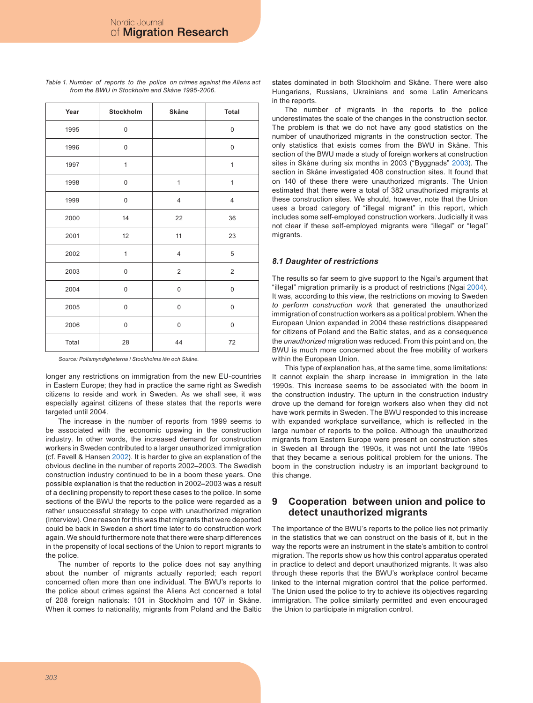| Year  | Stockholm    | Skåne          | Total                   |
|-------|--------------|----------------|-------------------------|
| 1995  | 0            |                | 0                       |
| 1996  | 0            |                | 0                       |
| 1997  | $\mathbf{1}$ |                | $\mathbf{1}$            |
| 1998  | 0            | $\mathbf{1}$   | $\mathbf{1}$            |
| 1999  | 0            | $\overline{4}$ | $\overline{4}$          |
| 2000  | 14           | 22             | 36                      |
| 2001  | 12           | 11             | 23                      |
| 2002  | $\mathbf{1}$ | $\overline{4}$ | 5                       |
| 2003  | $\mathsf 0$  | $\sqrt{2}$     | $\overline{\mathbf{c}}$ |
| 2004  | 0            | $\mathsf 0$    | 0                       |
| 2005  | 0            | $\mathsf 0$    | 0                       |
| 2006  | 0            | $\bf 0$        | 0                       |
| Total | 28           | 44             | 72                      |

*Table 1. Number of reports to the police on crimes against the Aliens act from the BWU in Stockholm and Skåne 1995-2006.*

*Source: Polismyndigheterna i Stockholms län och Skåne.*

longer any restrictions on immigration from the new EU-countries in Eastern Europe; they had in practice the same right as Swedish citizens to reside and work in Sweden. As we shall see, it was especially against citizens of these states that the reports were targeted until 2004.

The increase in the number of reports from 1999 seems to be associated with the economic upswing in the construction industry. In other words, the increased demand for construction workers in Sweden contributed to a larger unauthorized immigration (cf. Favell & Hansen 2002). It is harder to give an explanation of the obvious decline in the number of reports 2002**–**2003. The Swedish construction industry continued to be in a boom these years. One possible explanation is that the reduction in 2002**–**2003 was a result of a declining propensity to report these cases to the police. In some sections of the BWU the reports to the police were regarded as a rather unsuccessful strategy to cope with unauthorized migration (Interview). One reason for this was that migrants that were deported could be back in Sweden a short time later to do construction work again. We should furthermore note that there were sharp differences in the propensity of local sections of the Union to report migrants to the police.

The number of reports to the police does not say anything about the number of migrants actually reported; each report concerned often more than one individual. The BWU's reports to the police about crimes against the Aliens Act concerned a total of 208 foreign nationals: 101 in Stockholm and 107 in Skåne. When it comes to nationality, migrants from Poland and the Baltic

states dominated in both Stockholm and Skåne. There were also Hungarians, Russians, Ukrainians and some Latin Americans in the reports.

The number of migrants in the reports to the police underestimates the scale of the changes in the construction sector. The problem is that we do not have any good statistics on the number of unauthorized migrants in the construction sector. The only statistics that exists comes from the BWU in Skåne. This section of the BWU made a study of foreign workers at construction sites in Skåne during six months in 2003 ("Byggnads" 2003). The section in Skåne investigated 408 construction sites. It found that on 140 of these there were unauthorized migrants. The Union estimated that there were a total of 382 unauthorized migrants at these construction sites. We should, however, note that the Union uses a broad category of "illegal migrant" in this report, which includes some self-employed construction workers. Judicially it was not clear if these self-employed migrants were "illegal" or "legal" migrants.

#### *8.1 Daughter of restrictions*

The results so far seem to give support to the Ngai's argument that "illegal" migration primarily is a product of restrictions (Ngai 2004). It was, according to this view, the restrictions on moving to Sweden *to perform construction work* that generated the unauthorized immigration of construction workers as a political problem. When the European Union expanded in 2004 these restrictions disappeared for citizens of Poland and the Baltic states, and as a consequence the *unauthorized* migration was reduced. From this point and on, the BWU is much more concerned about the free mobility of workers within the European Union.

This type of explanation has, at the same time, some limitations: It cannot explain the sharp increase in immigration in the late 1990s. This increase seems to be associated with the boom in the construction industry. The upturn in the construction industry drove up the demand for foreign workers also when they did not have work permits in Sweden. The BWU responded to this increase with expanded workplace surveillance, which is reflected in the large number of reports to the police. Although the unauthorized migrants from Eastern Europe were present on construction sites in Sweden all through the 1990s, it was not until the late 1990s that they became a serious political problem for the unions. The boom in the construction industry is an important background to this change.

# **9 Cooperation between union and police to detect unauthorized migrants**

The importance of the BWU's reports to the police lies not primarily in the statistics that we can construct on the basis of it, but in the way the reports were an instrument in the state's ambition to control migration. The reports show us how this control apparatus operated in practice to detect and deport unauthorized migrants. It was also through these reports that the BWU's workplace control became linked to the internal migration control that the police performed. The Union used the police to try to achieve its objectives regarding immigration. The police similarly permitted and even encouraged the Union to participate in migration control.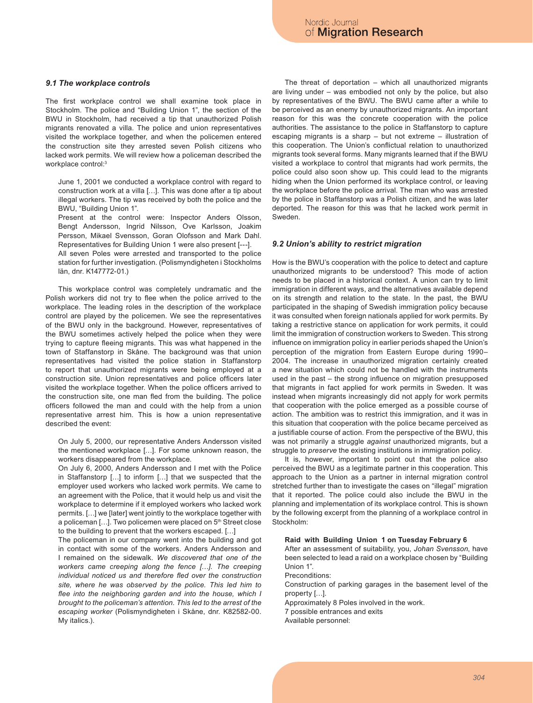#### *9.1 The workplace controls*

The first workplace control we shall examine took place in Stockholm. The police and "Building Union 1", the section of the BWU in Stockholm, had received a tip that unauthorized Polish migrants renovated a villa. The police and union representatives visited the workplace together, and when the policemen entered the construction site they arrested seven Polish citizens who lacked work permits. We will review how a policeman described the workplace control:3

June 1, 2001 we conducted a workplace control with regard to construction work at a villa […]. This was done after a tip about illegal workers. The tip was received by both the police and the BWU, "Building Union 1".

Present at the control were: Inspector Anders Olsson, Bengt Andersson, Ingrid Nilsson, Ove Karlsson, Joakim Persson, Mikael Svensson, Goran Olofsson and Mark Dahl. Representatives for Building Union 1 were also present [---].

All seven Poles were arrested and transported to the police station for further investigation. (Polismyndigheten i Stockholms län, dnr. K147772-01.)

This workplace control was completely undramatic and the Polish workers did not try to flee when the police arrived to the workplace. The leading roles in the description of the workplace control are played by the policemen. We see the representatives of the BWU only in the background. However, representatives of the BWU sometimes actively helped the police when they were trying to capture fleeing migrants. This was what happened in the town of Staffanstorp in Skåne. The background was that union representatives had visited the police station in Staffanstorp to report that unauthorized migrants were being employed at a construction site. Union representatives and police officers later visited the workplace together. When the police officers arrived to the construction site, one man fled from the building. The police officers followed the man and could with the help from a union representative arrest him. This is how a union representative described the event:

On July 5, 2000, our representative Anders Andersson visited the mentioned workplace […]. For some unknown reason, the workers disappeared from the workplace.

On July 6, 2000, Anders Andersson and I met with the Police in Staffanstorp […] to inform […] that we suspected that the employer used workers who lacked work permits. We came to an agreement with the Police, that it would help us and visit the workplace to determine if it employed workers who lacked work permits. […] we [later] went jointly to the workplace together with a policeman [...]. Two policemen were placed on 5<sup>th</sup> Street close to the building to prevent that the workers escaped. […]

The policeman in our company went into the building and got in contact with some of the workers. Anders Andersson and I remained on the sidewalk. *We discovered that one of the workers came creeping along the fence […]. The creeping individual noticed us and therefore fled over the construction site, where he was observed by the police. This led him to flee into the neighboring garden and into the house, which I brought to the policeman's attention. This led to the arrest of the escaping worker* (Polismyndigheten i Skåne, dnr. K82582-00. My italics.).

The threat of deportation – which all unauthorized migrants are living under – was embodied not only by the police, but also by representatives of the BWU. The BWU came after a while to be perceived as an enemy by unauthorized migrants. An important reason for this was the concrete cooperation with the police authorities. The assistance to the police in Staffanstorp to capture escaping migrants is a sharp – but not extreme – illustration of this cooperation. The Union's conflictual relation to unauthorized migrants took several forms. Many migrants learned that if the BWU visited a workplace to control that migrants had work permits, the police could also soon show up. This could lead to the migrants hiding when the Union performed its workplace control, or leaving the workplace before the police arrival. The man who was arrested by the police in Staffanstorp was a Polish citizen, and he was later deported. The reason for this was that he lacked work permit in Sweden.

#### *9.2 Union's ability to restrict migration*

How is the BWU's cooperation with the police to detect and capture unauthorized migrants to be understood? This mode of action needs to be placed in a historical context. A union can try to limit immigration in different ways, and the alternatives available depend on its strength and relation to the state. In the past, the BWU participated in the shaping of Swedish immigration policy because it was consulted when foreign nationals applied for work permits. By taking a restrictive stance on application for work permits, it could limit the immigration of construction workers to Sweden. This strong influence on immigration policy in earlier periods shaped the Union's perception of the migration from Eastern Europe during 1990– 2004. The increase in unauthorized migration certainly created a new situation which could not be handled with the instruments used in the past – the strong influence on migration presupposed that migrants in fact applied for work permits in Sweden. It was instead when migrants increasingly did not apply for work permits that cooperation with the police emerged as a possible course of action. The ambition was to restrict this immigration, and it was in this situation that cooperation with the police became perceived as a justifiable course of action. From the perspective of the BWU, this was not primarily a struggle *against* unauthorized migrants, but a struggle to *preserve* the existing institutions in immigration policy.

It is, however, important to point out that the police also perceived the BWU as a legitimate partner in this cooperation. This approach to the Union as a partner in internal migration control stretched further than to investigate the cases on "illegal" migration that it reported. The police could also include the BWU in the planning and implementation of its workplace control. This is shown by the following excerpt from the planning of a workplace control in Stockholm:

**Raid with Building Union 1 on Tuesday February 6**

After an assessment of suitability, you, *Johan Svensson*, have been selected to lead a raid on a workplace chosen by "Building Union 1".

Preconditions:

Construction of parking garages in the basement level of the property […].

Approximately 8 Poles involved in the work.

7 possible entrances and exits

Available personnel: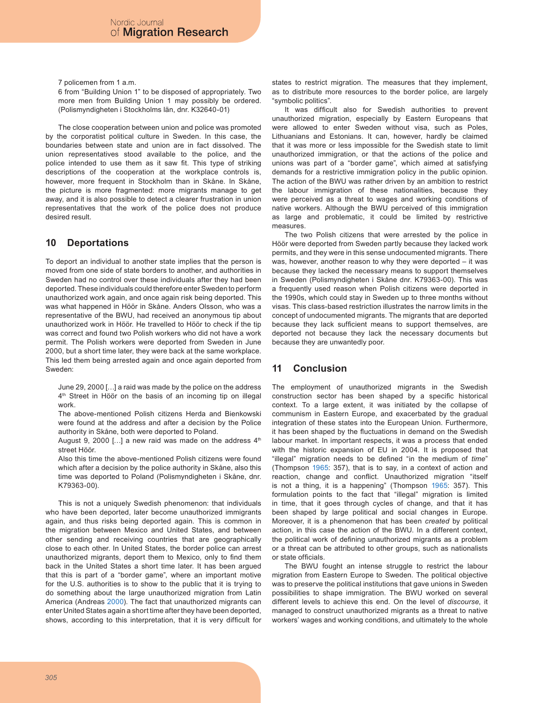7 policemen from 1 a.m.

6 from "Building Union 1" to be disposed of appropriately. Two more men from Building Union 1 may possibly be ordered. (Polismyndigheten i Stockholms län, dnr. K32640-01)

The close cooperation between union and police was promoted by the corporatist political culture in Sweden. In this case, the boundaries between state and union are in fact dissolved. The union representatives stood available to the police, and the police intended to use them as it saw fit. This type of striking descriptions of the cooperation at the workplace controls is, however, more frequent in Stockholm than in Skåne. In Skåne, the picture is more fragmented: more migrants manage to get away, and it is also possible to detect a clearer frustration in union representatives that the work of the police does not produce desired result.

# **10 Deportations**

To deport an individual to another state implies that the person is moved from one side of state borders to another, and authorities in Sweden had no control over these individuals after they had been deported. These individuals could therefore enter Sweden to perform unauthorized work again, and once again risk being deported. This was what happened in Höör in Skåne. Anders Olsson, who was a representative of the BWU, had received an anonymous tip about unauthorized work in Höör. He travelled to Höör to check if the tip was correct and found two Polish workers who did not have a work permit. The Polish workers were deported from Sweden in June 2000, but a short time later, they were back at the same workplace. This led them being arrested again and once again deported from Sweden:

June 29, 2000 […] a raid was made by the police on the address 4<sup>th</sup> Street in Höör on the basis of an incoming tip on illegal work.

The above-mentioned Polish citizens Herda and Bienkowski were found at the address and after a decision by the Police authority in Skåne, both were deported to Poland.

August 9, 2000 [ $\dots$ ] a new raid was made on the address  $4<sup>th</sup>$ street Höör.

Also this time the above-mentioned Polish citizens were found which after a decision by the police authority in Skåne, also this time was deported to Poland (Polismyndigheten i Skåne, dnr. K79363-00).

This is not a uniquely Swedish phenomenon: that individuals who have been deported, later become unauthorized immigrants again, and thus risks being deported again. This is common in the migration between Mexico and United States, and between other sending and receiving countries that are geographically close to each other. In United States, the border police can arrest unauthorized migrants, deport them to Mexico, only to find them back in the United States a short time later. It has been argued that this is part of a "border game", where an important motive for the U.S. authorities is to show to the public that it is trying to do something about the large unauthorized migration from Latin America (Andreas 2000). The fact that unauthorized migrants can enter United States again a short time after they have been deported, shows, according to this interpretation, that it is very difficult for states to restrict migration. The measures that they implement, as to distribute more resources to the border police, are largely "symbolic politics".

It was difficult also for Swedish authorities to prevent unauthorized migration, especially by Eastern Europeans that were allowed to enter Sweden without visa, such as Poles, Lithuanians and Estonians. It can, however, hardly be claimed that it was more or less impossible for the Swedish state to limit unauthorized immigration, or that the actions of the police and unions was part of a "border game", which aimed at satisfying demands for a restrictive immigration policy in the public opinion. The action of the BWU was rather driven by an ambition to restrict the labour immigration of these nationalities, because they were perceived as a threat to wages and working conditions of native workers. Although the BWU perceived of this immigration as large and problematic, it could be limited by restrictive measures.

The two Polish citizens that were arrested by the police in Höör were deported from Sweden partly because they lacked work permits, and they were in this sense undocumented migrants. There was, however, another reason to why they were deported – it was because they lacked the necessary means to support themselves in Sweden (Polismyndigheten i Skåne dnr. K79363-00). This was a frequently used reason when Polish citizens were deported in the 1990s, which could stay in Sweden up to three months without visas. This class-based restriction illustrates the narrow limits in the concept of undocumented migrants. The migrants that are deported because they lack sufficient means to support themselves, are deported not because they lack the necessary documents but because they are unwantedly poor.

# **11 Conclusion**

The employment of unauthorized migrants in the Swedish construction sector has been shaped by a specific historical context. To a large extent, it was initiated by the collapse of communism in Eastern Europe, and exacerbated by the gradual integration of these states into the European Union. Furthermore, it has been shaped by the fluctuations in demand on the Swedish labour market. In important respects, it was a process that ended with the historic expansion of EU in 2004. It is proposed that "illegal" migration needs to be defined "in the medium of *time*" (Thompson 1965: 357), that is to say, in a context of action and reaction, change and conflict. Unauthorized migration "itself is not a thing, it is a happening" (Thompson 1965: 357). This formulation points to the fact that "illegal" migration is limited in time, that it goes through cycles of change, and that it has been shaped by large political and social changes in Europe. Moreover, it is a phenomenon that has been *created* by political action, in this case the action of the BWU. In a different context, the political work of defining unauthorized migrants as a problem or a threat can be attributed to other groups, such as nationalists or state officials.

The BWU fought an intense struggle to restrict the labour migration from Eastern Europe to Sweden. The political objective was to preserve the political institutions that gave unions in Sweden possibilities to shape immigration. The BWU worked on several different levels to achieve this end. On the level of *discourse*, it managed to construct unauthorized migrants as a threat to native workers' wages and working conditions, and ultimately to the whole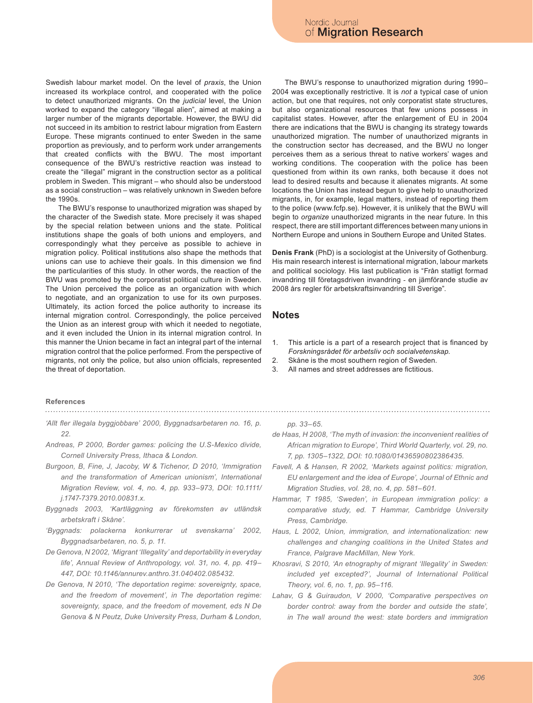Swedish labour market model. On the level of *praxis*, the Union increased its workplace control, and cooperated with the police to detect unauthorized migrants. On the *judicial* level, the Union worked to expand the category "illegal alien", aimed at making a larger number of the migrants deportable. However, the BWU did not succeed in its ambition to restrict labour migration from Eastern Europe. These migrants continued to enter Sweden in the same proportion as previously, and to perform work under arrangements that created conflicts with the BWU. The most important consequence of the BWU's restrictive reaction was instead to create the "illegal" migrant in the construction sector as a political problem in Sweden. This migrant – who should also be understood as a social construction – was relatively unknown in Sweden before the 1990s.

The BWU's response to unauthorized migration was shaped by the character of the Swedish state. More precisely it was shaped by the special relation between unions and the state. Political institutions shape the goals of both unions and employers, and correspondingly what they perceive as possible to achieve in migration policy. Political institutions also shape the methods that unions can use to achieve their goals. In this dimension we find the particularities of this study. In other words, the reaction of the BWU was promoted by the corporatist political culture in Sweden. The Union perceived the police as an organization with which to negotiate, and an organization to use for its own purposes. Ultimately, its action forced the police authority to increase its internal migration control. Correspondingly, the police perceived the Union as an interest group with which it needed to negotiate, and it even included the Union in its internal migration control. In this manner the Union became in fact an integral part of the internal migration control that the police performed. From the perspective of migrants, not only the police, but also union officials, represented the threat of deportation.

The BWU's response to unauthorized migration during 1990– 2004 was exceptionally restrictive. It is *not* a typical case of union action, but one that requires, not only corporatist state structures, but also organizational resources that few unions possess in capitalist states. However, after the enlargement of EU in 2004 there are indications that the BWU is changing its strategy towards unauthorized migration. The number of unauthorized migrants in the construction sector has decreased, and the BWU no longer perceives them as a serious threat to native workers' wages and working conditions. The cooperation with the police has been questioned from within its own ranks, both because it does not lead to desired results and because it alienates migrants. At some locations the Union has instead begun to give help to unauthorized migrants, in, for example, legal matters, instead of reporting them to the police (www.fcfp.se). However, it is unlikely that the BWU will begin to *organize* unauthorized migrants in the near future. In this respect, there are still important differences between many unions in Northern Europe and unions in Southern Europe and United States.

**Denis Frank** (PhD) is a sociologist at the University of Gothenburg. His main research interest is international migration, labour markets and political sociology. His last publication is "Från statligt formad invandring till företagsdriven invandring - en jämförande studie av 2008 års regler för arbetskraftsinvandring till Sverige".

#### **Notes**

- This article is a part of a research project that is financed by *Forskningsrådet för arbetsliv och socialvetenskap.* 1.
- Skåne is the most southern region of Sweden. 2.
- All names and street addresses are fictitious. 3.

# **References**

- *'Allt fler illegala byggjobbare' 2000, Byggnadsarbetaren no. 16, p. 22.*
- *Andreas, P 2000, Border games: policing the U.S-Mexico divide, Cornell University Press, Ithaca & London.*
- *Burgoon, B, Fine, J, Jacoby, W & Tichenor, D 2010, 'Immigration and the transformation of American unionism', International Migration Review, vol. 4, no. 4, pp. 933–973, DOI: 10.1111/ j.1747-7379.2010.00831.x.*
- *Byggnads 2003, 'Kartläggning av förekomsten av utländsk arbetskraft i Skåne'.*
- *'Byggnads: polackerna konkurrerar ut svenskarna' 2002, Byggnadsarbetaren, no. 5, p. 11.*
- *De Genova, N 2002, 'Migrant 'Illegality' and deportability in everyday life', Annual Review of Anthropology, vol. 31, no. 4, pp. 419– 447, DOI: 10.1146/annurev.anthro.31.040402.085432.*
- *De Genova, N 2010, 'The deportation regime: sovereignty, space, and the freedom of movement', in The deportation regime: sovereignty, space, and the freedom of movement, eds N De Genova & N Peutz, Duke University Press, Durham & London,*

#### *pp. 33–65.*

- *de Haas, H 2008, 'The myth of invasion: the inconvenient realities of African migration to Europe', Third World Quarterly, vol. 29, no. 7, pp. 1305–1322, DOI: 10.1080/01436590802386435.*
- *Favell, A & Hansen, R 2002, 'Markets against politics: migration, EU enlargement and the idea of Europe', Journal of Ethnic and Migration Studies, vol. 28, no. 4, pp. 581–601.*
- *Hammar, T 1985, 'Sweden', in European immigration policy: a comparative study, ed. T Hammar, Cambridge University Press, Cambridge.*
- *Haus, L 2002, Union, immigration, and internationalization: new challenges and changing coalitions in the United States and France, Palgrave MacMillan, New York.*
- *Khosravi, S 2010, 'An etnography of migrant 'Illegality' in Sweden: included yet excepted?', Journal of International Political Theory, vol. 6, no. 1, pp. 95–116.*
- *Lahav, G & Guiraudon, V 2000, 'Comparative perspectives on border control: away from the border and outside the state', in The wall around the west: state borders and immigration*